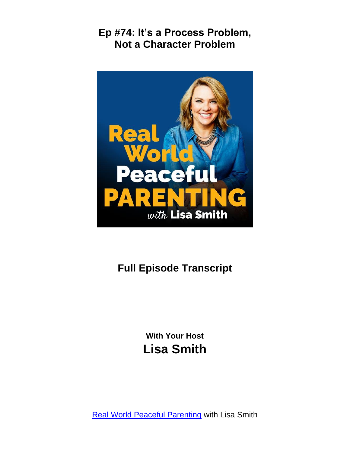

# **Full Episode Transcript**

**With Your Host Lisa Smith**

**[Real World Peaceful Parenting](https://thepeacefulparent.com/podcast) with Lisa Smith**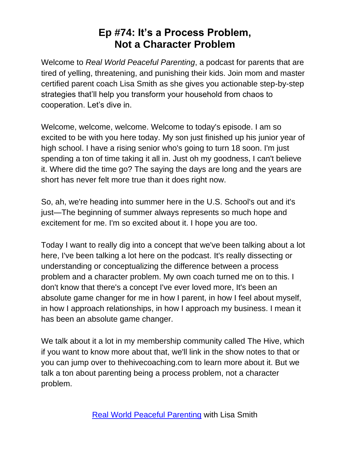Welcome to *Real World Peaceful Parenting*, a podcast for parents that are tired of yelling, threatening, and punishing their kids. Join mom and master certified parent coach Lisa Smith as she gives you actionable step-by-step strategies that'll help you transform your household from chaos to cooperation. Let's dive in.

Welcome, welcome, welcome. Welcome to today's episode. I am so excited to be with you here today. My son just finished up his junior year of high school. I have a rising senior who's going to turn 18 soon. I'm just spending a ton of time taking it all in. Just oh my goodness, I can't believe it. Where did the time go? The saying the days are long and the years are short has never felt more true than it does right now.

So, ah, we're heading into summer here in the U.S. School's out and it's just—The beginning of summer always represents so much hope and excitement for me. I'm so excited about it. I hope you are too.

Today I want to really dig into a concept that we've been talking about a lot here, I've been talking a lot here on the podcast. It's really dissecting or understanding or conceptualizing the difference between a process problem and a character problem. My own coach turned me on to this. I don't know that there's a concept I've ever loved more, It's been an absolute game changer for me in how I parent, in how I feel about myself, in how I approach relationships, in how I approach my business. I mean it has been an absolute game changer.

We talk about it a lot in my membership community called The Hive, which if you want to know more about that, we'll link in the show notes to that or you can jump over to thehivecoaching.com to learn more about it. But we talk a ton about parenting being a process problem, not a character problem.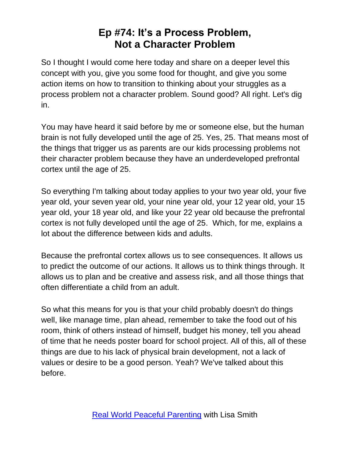So I thought I would come here today and share on a deeper level this concept with you, give you some food for thought, and give you some action items on how to transition to thinking about your struggles as a process problem not a character problem. Sound good? All right. Let's dig in.

You may have heard it said before by me or someone else, but the human brain is not fully developed until the age of 25. Yes, 25. That means most of the things that trigger us as parents are our kids processing problems not their character problem because they have an underdeveloped prefrontal cortex until the age of 25.

So everything I'm talking about today applies to your two year old, your five year old, your seven year old, your nine year old, your 12 year old, your 15 year old, your 18 year old, and like your 22 year old because the prefrontal cortex is not fully developed until the age of 25. Which, for me, explains a lot about the difference between kids and adults.

Because the prefrontal cortex allows us to see consequences. It allows us to predict the outcome of our actions. It allows us to think things through. It allows us to plan and be creative and assess risk, and all those things that often differentiate a child from an adult.

So what this means for you is that your child probably doesn't do things well, like manage time, plan ahead, remember to take the food out of his room, think of others instead of himself, budget his money, tell you ahead of time that he needs poster board for school project. All of this, all of these things are due to his lack of physical brain development, not a lack of values or desire to be a good person. Yeah? We've talked about this before.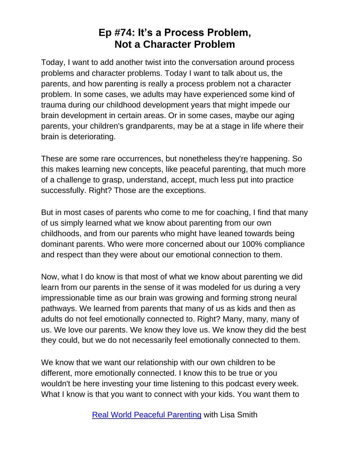Today, I want to add another twist into the conversation around process problems and character problems. Today I want to talk about us, the parents, and how parenting is really a process problem not a character problem. In some cases, we adults may have experienced some kind of trauma during our childhood development years that might impede our brain development in certain areas. Or in some cases, maybe our aging parents, your children's grandparents, may be at a stage in life where their brain is deteriorating.

These are some rare occurrences, but nonetheless they're happening. So this makes learning new concepts, like peaceful parenting, that much more of a challenge to grasp, understand, accept, much less put into practice successfully. Right? Those are the exceptions.

But in most cases of parents who come to me for coaching, I find that many of us simply learned what we know about parenting from our own childhoods, and from our parents who might have leaned towards being dominant parents. Who were more concerned about our 100% compliance and respect than they were about our emotional connection to them.

Now, what I do know is that most of what we know about parenting we did learn from our parents in the sense of it was modeled for us during a very impressionable time as our brain was growing and forming strong neural pathways. We learned from parents that many of us as kids and then as adults do not feel emotionally connected to. Right? Many, many, many of us. We love our parents. We know they love us. We know they did the best they could, but we do not necessarily feel emotionally connected to them.

We know that we want our relationship with our own children to be different, more emotionally connected. I know this to be true or you wouldn't be here investing your time listening to this podcast every week. What I know is that you want to connect with your kids. You want them to

[Real World Peaceful Parenting](https://thepeacefulparent.com/podcast) with Lisa Smith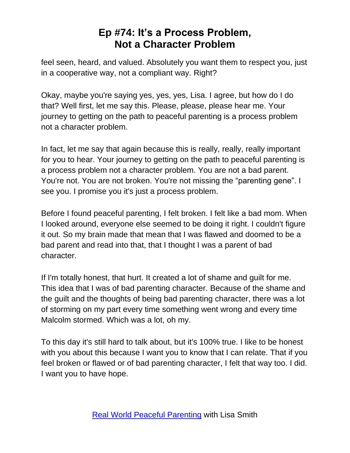feel seen, heard, and valued. Absolutely you want them to respect you, just in a cooperative way, not a compliant way. Right?

Okay, maybe you're saying yes, yes, yes, Lisa. I agree, but how do I do that? Well first, let me say this. Please, please, please hear me. Your journey to getting on the path to peaceful parenting is a process problem not a character problem.

In fact, let me say that again because this is really, really, really important for you to hear. Your journey to getting on the path to peaceful parenting is a process problem not a character problem. You are not a bad parent. You're not. You are not broken. You're not missing the "parenting gene". I see you. I promise you it's just a process problem.

Before I found peaceful parenting, I felt broken. I felt like a bad mom. When I looked around, everyone else seemed to be doing it right. I couldn't figure it out. So my brain made that mean that I was flawed and doomed to be a bad parent and read into that, that I thought I was a parent of bad character.

If I'm totally honest, that hurt. It created a lot of shame and guilt for me. This idea that I was of bad parenting character. Because of the shame and the guilt and the thoughts of being bad parenting character, there was a lot of storming on my part every time something went wrong and every time Malcolm stormed. Which was a lot, oh my.

To this day it's still hard to talk about, but it's 100% true. I like to be honest with you about this because I want you to know that I can relate. That if you feel broken or flawed or of bad parenting character, I felt that way too. I did. I want you to have hope.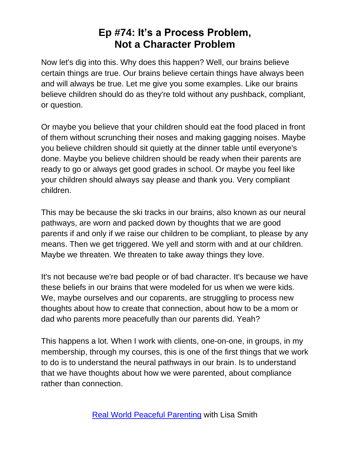Now let's dig into this. Why does this happen? Well, our brains believe certain things are true. Our brains believe certain things have always been and will always be true. Let me give you some examples. Like our brains believe children should do as they're told without any pushback, compliant, or question.

Or maybe you believe that your children should eat the food placed in front of them without scrunching their noses and making gagging noises. Maybe you believe children should sit quietly at the dinner table until everyone's done. Maybe you believe children should be ready when their parents are ready to go or always get good grades in school. Or maybe you feel like your children should always say please and thank you. Very compliant children.

This may be because the ski tracks in our brains, also known as our neural pathways, are worn and packed down by thoughts that we are good parents if and only if we raise our children to be compliant, to please by any means. Then we get triggered. We yell and storm with and at our children. Maybe we threaten. We threaten to take away things they love.

It's not because we're bad people or of bad character. It's because we have these beliefs in our brains that were modeled for us when we were kids. We, maybe ourselves and our coparents, are struggling to process new thoughts about how to create that connection, about how to be a mom or dad who parents more peacefully than our parents did. Yeah?

This happens a lot. When I work with clients, one-on-one, in groups, in my membership, through my courses, this is one of the first things that we work to do is to understand the neural pathways in our brain. Is to understand that we have thoughts about how we were parented, about compliance rather than connection.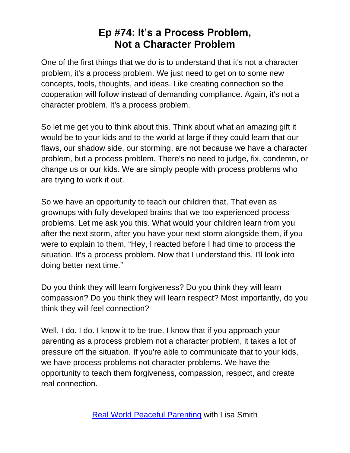One of the first things that we do is to understand that it's not a character problem, it's a process problem. We just need to get on to some new concepts, tools, thoughts, and ideas. Like creating connection so the cooperation will follow instead of demanding compliance. Again, it's not a character problem. It's a process problem.

So let me get you to think about this. Think about what an amazing gift it would be to your kids and to the world at large if they could learn that our flaws, our shadow side, our storming, are not because we have a character problem, but a process problem. There's no need to judge, fix, condemn, or change us or our kids. We are simply people with process problems who are trying to work it out.

So we have an opportunity to teach our children that. That even as grownups with fully developed brains that we too experienced process problems. Let me ask you this. What would your children learn from you after the next storm, after you have your next storm alongside them, if you were to explain to them, "Hey, I reacted before I had time to process the situation. It's a process problem. Now that I understand this, I'll look into doing better next time."

Do you think they will learn forgiveness? Do you think they will learn compassion? Do you think they will learn respect? Most importantly, do you think they will feel connection?

Well, I do. I do. I know it to be true. I know that if you approach your parenting as a process problem not a character problem, it takes a lot of pressure off the situation. If you're able to communicate that to your kids, we have process problems not character problems. We have the opportunity to teach them forgiveness, compassion, respect, and create real connection.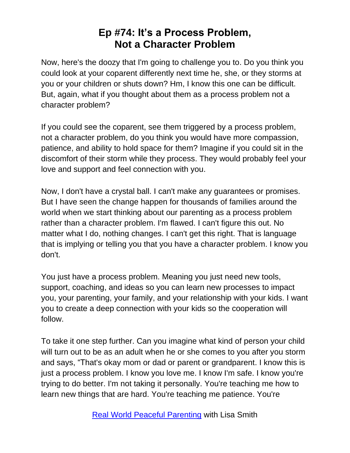Now, here's the doozy that I'm going to challenge you to. Do you think you could look at your coparent differently next time he, she, or they storms at you or your children or shuts down? Hm, I know this one can be difficult. But, again, what if you thought about them as a process problem not a character problem?

If you could see the coparent, see them triggered by a process problem, not a character problem, do you think you would have more compassion, patience, and ability to hold space for them? Imagine if you could sit in the discomfort of their storm while they process. They would probably feel your love and support and feel connection with you.

Now, I don't have a crystal ball. I can't make any guarantees or promises. But I have seen the change happen for thousands of families around the world when we start thinking about our parenting as a process problem rather than a character problem. I'm flawed. I can't figure this out. No matter what I do, nothing changes. I can't get this right. That is language that is implying or telling you that you have a character problem. I know you don't.

You just have a process problem. Meaning you just need new tools, support, coaching, and ideas so you can learn new processes to impact you, your parenting, your family, and your relationship with your kids. I want you to create a deep connection with your kids so the cooperation will follow.

To take it one step further. Can you imagine what kind of person your child will turn out to be as an adult when he or she comes to you after you storm and says, "That's okay mom or dad or parent or grandparent. I know this is just a process problem. I know you love me. I know I'm safe. I know you're trying to do better. I'm not taking it personally. You're teaching me how to learn new things that are hard. You're teaching me patience. You're

[Real World Peaceful Parenting](https://thepeacefulparent.com/podcast) with Lisa Smith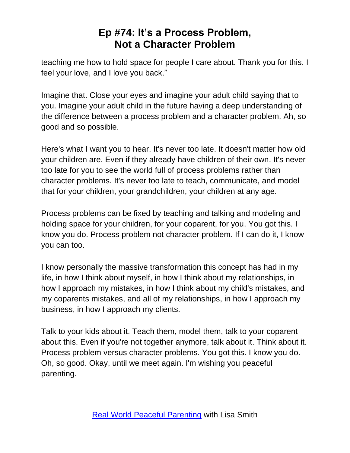teaching me how to hold space for people I care about. Thank you for this. I feel your love, and I love you back."

Imagine that. Close your eyes and imagine your adult child saying that to you. Imagine your adult child in the future having a deep understanding of the difference between a process problem and a character problem. Ah, so good and so possible.

Here's what I want you to hear. It's never too late. It doesn't matter how old your children are. Even if they already have children of their own. It's never too late for you to see the world full of process problems rather than character problems. It's never too late to teach, communicate, and model that for your children, your grandchildren, your children at any age.

Process problems can be fixed by teaching and talking and modeling and holding space for your children, for your coparent, for you. You got this. I know you do. Process problem not character problem. If I can do it, I know you can too.

I know personally the massive transformation this concept has had in my life, in how I think about myself, in how I think about my relationships, in how I approach my mistakes, in how I think about my child's mistakes, and my coparents mistakes, and all of my relationships, in how I approach my business, in how I approach my clients.

Talk to your kids about it. Teach them, model them, talk to your coparent about this. Even if you're not together anymore, talk about it. Think about it. Process problem versus character problems. You got this. I know you do. Oh, so good. Okay, until we meet again. I'm wishing you peaceful parenting.